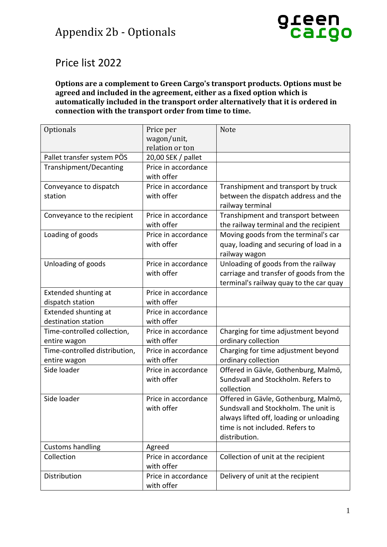## Appendix 2b - Optionals



## Price list 2022

## **Options are a complement to Green Cargo's transport products. Options must be agreed and included in the agreement, either as a fixed option which is automatically included in the transport order alternatively that it is ordered in connection with the transport order from time to time.**

| Optionals                     | Price per           | Note                                    |
|-------------------------------|---------------------|-----------------------------------------|
|                               | wagon/unit,         |                                         |
|                               | relation or ton     |                                         |
| Pallet transfer system PÖS    | 20,00 SEK / pallet  |                                         |
| Transhipment/Decanting        | Price in accordance |                                         |
|                               | with offer          |                                         |
| Conveyance to dispatch        | Price in accordance | Transhipment and transport by truck     |
| station                       | with offer          | between the dispatch address and the    |
|                               |                     | railway terminal                        |
| Conveyance to the recipient   | Price in accordance | Transhipment and transport between      |
|                               | with offer          | the railway terminal and the recipient  |
| Loading of goods              | Price in accordance | Moving goods from the terminal's car    |
|                               | with offer          | quay, loading and securing of load in a |
|                               |                     | railway wagon                           |
| Unloading of goods            | Price in accordance | Unloading of goods from the railway     |
|                               | with offer          | carriage and transfer of goods from the |
|                               |                     | terminal's railway quay to the car quay |
| Extended shunting at          | Price in accordance |                                         |
| dispatch station              | with offer          |                                         |
| Extended shunting at          | Price in accordance |                                         |
| destination station           | with offer          |                                         |
| Time-controlled collection,   | Price in accordance | Charging for time adjustment beyond     |
| entire wagon                  | with offer          | ordinary collection                     |
| Time-controlled distribution, | Price in accordance | Charging for time adjustment beyond     |
| entire wagon                  | with offer          | ordinary collection                     |
| Side loader                   | Price in accordance | Offered in Gävle, Gothenburg, Malmö,    |
|                               | with offer          | Sundsvall and Stockholm. Refers to      |
|                               |                     | collection                              |
| Side loader                   | Price in accordance | Offered in Gävle, Gothenburg, Malmö,    |
|                               | with offer          | Sundsvall and Stockholm. The unit is    |
|                               |                     | always lifted off, loading or unloading |
|                               |                     | time is not included. Refers to         |
|                               |                     | distribution.                           |
| <b>Customs handling</b>       | Agreed              |                                         |
| Collection                    | Price in accordance | Collection of unit at the recipient     |
|                               | with offer          |                                         |
| Distribution                  | Price in accordance | Delivery of unit at the recipient       |
|                               | with offer          |                                         |